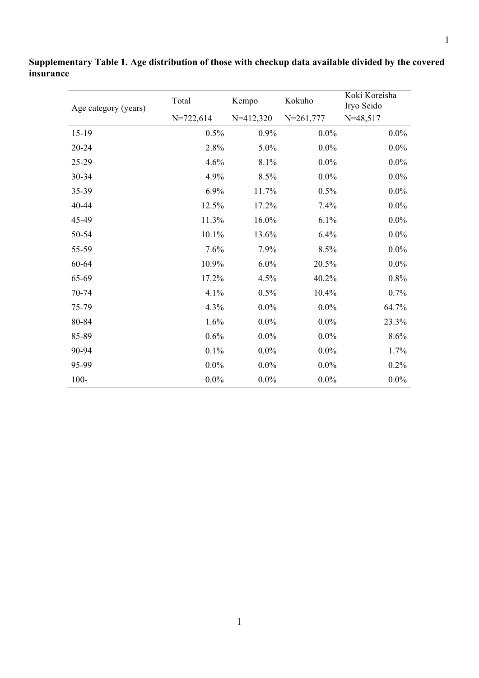| Age category (years) | Total       | Kempo       | Kokuho        | Koki Koreisha<br>Iryo Seido |
|----------------------|-------------|-------------|---------------|-----------------------------|
|                      | $N=722,614$ | $N=412,320$ | $N = 261,777$ | $N=48,517$                  |
| $15-19$              | 0.5%        | 0.9%        | $0.0\%$       | $0.0\%$                     |
| 20-24                | 2.8%        | 5.0%        | $0.0\%$       | $0.0\%$                     |
| 25-29                | 4.6%        | 8.1%        | $0.0\%$       | $0.0\%$                     |
| 30-34                | 4.9%        | 8.5%        | $0.0\%$       | $0.0\%$                     |
| 35-39                | 6.9%        | 11.7%       | 0.5%          | $0.0\%$                     |
| 40-44                | 12.5%       | 17.2%       | 7.4%          | $0.0\%$                     |
| 45-49                | 11.3%       | 16.0%       | 6.1%          | $0.0\%$                     |
| 50-54                | 10.1%       | 13.6%       | 6.4%          | $0.0\%$                     |
| 55-59                | 7.6%        | 7.9%        | 8.5%          | $0.0\%$                     |
| 60-64                | 10.9%       | 6.0%        | 20.5%         | $0.0\%$                     |
| 65-69                | 17.2%       | 4.5%        | 40.2%         | 0.8%                        |
| 70-74                | 4.1%        | 0.5%        | 10.4%         | 0.7%                        |
| 75-79                | 4.3%        | $0.0\%$     | $0.0\%$       | 64.7%                       |
| 80-84                | 1.6%        | $0.0\%$     | $0.0\%$       | 23.3%                       |
| 85-89                | 0.6%        | $0.0\%$     | $0.0\%$       | 8.6%                        |
| 90-94                | 0.1%        | $0.0\%$     | $0.0\%$       | 1.7%                        |
| 95-99                | $0.0\%$     | $0.0\%$     | $0.0\%$       | 0.2%                        |
| $100 -$              | $0.0\%$     | $0.0\%$     | $0.0\%$       | $0.0\%$                     |

**Supplementary Table 1. Age distribution of those with checkup data available divided by the covered insurance**